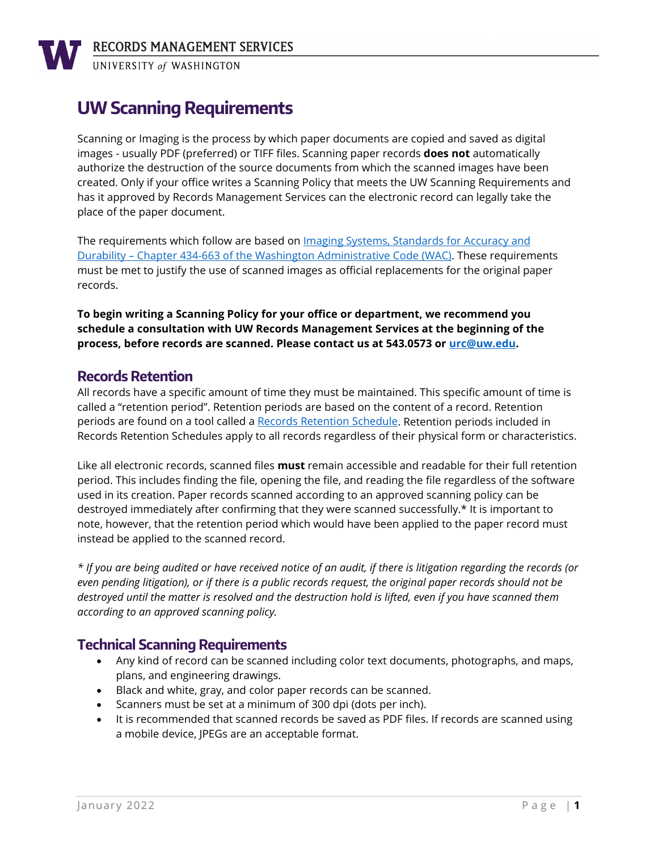# **UW Scanning Requirements**

Scanning or Imaging is the process by which paper documents are copied and saved as digital images - usually PDF (preferred) or TIFF files. Scanning paper records **does not** automatically authorize the destruction of the source documents from which the scanned images have been created. Only if your office writes a Scanning Policy that meets the UW Scanning Requirements and has it approved by Records Management Services can the electronic record can legally take the place of the paper document.

The requirements which follow are based on *Imaging Systems, Standards for Accuracy and* Durability – [Chapter 434-663 of the Washington Administrative Code \(WAC\).](http://apps.leg.wa.gov/WAC/default.aspx?cite=434-663) These requirements must be met to justify the use of scanned images as official replacements for the original paper records.

**To begin writing a Scanning Policy for your office or department, we recommend you schedule a consultation with UW Records Management Services at the beginning of the process, before records are scanned. Please contact us at 543.0573 or [urc@uw.edu.](mailto:urc@uw.edu)**

### **Records Retention**

All records have a specific amount of time they must be maintained. This specific amount of time is called a "retention period". Retention periods are based on the content of a record. Retention periods are found on a tool called [a Records Retention Schedule.](https://finance.uw.edu/recmgt/retentionschedules) Retention periods included in Records Retention Schedules apply to all records regardless of their physical form or characteristics.

Like all electronic records, scanned files **must** remain accessible and readable for their full retention period. This includes finding the file, opening the file, and reading the file regardless of the software used in its creation. Paper records scanned according to an approved scanning policy can be destroyed immediately after confirming that they were scanned successfully.\* It is important to note, however, that the retention period which would have been applied to the paper record must instead be applied to the scanned record.

*\* If you are being audited or have received notice of an audit, if there is litigation regarding the records (or even pending litigation), or if there is a public records request, the original paper records should not be destroyed until the matter is resolved and the destruction hold is lifted, even if you have scanned them according to an approved scanning policy.*

### **Technical Scanning Requirements**

- Any kind of record can be scanned including color text documents, photographs, and maps, plans, and engineering drawings.
- Black and white, gray, and color paper records can be scanned.
- Scanners must be set at a minimum of 300 dpi (dots per inch).
- It is recommended that scanned records be saved as PDF files. If records are scanned using a mobile device, JPEGs are an acceptable format.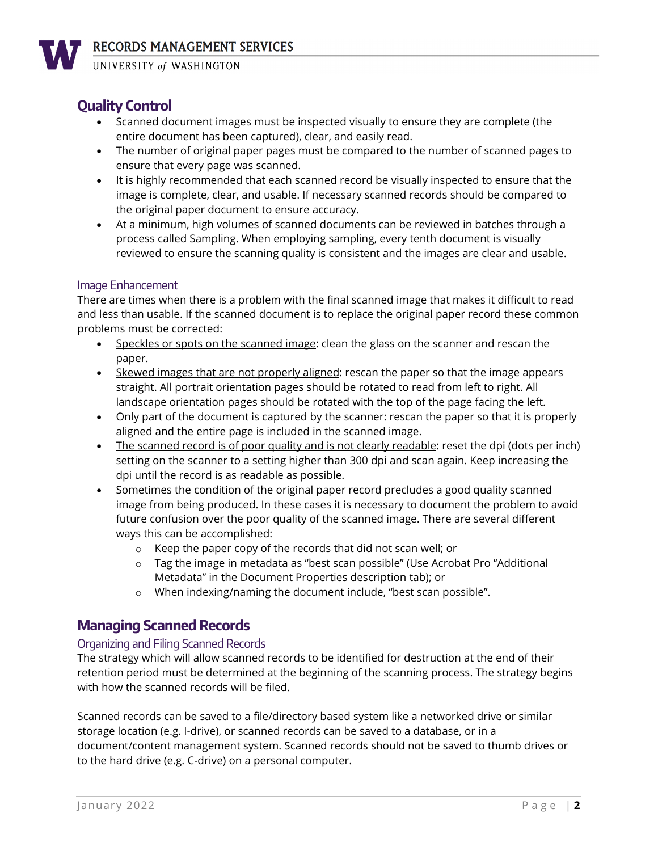

# **Quality Control**

- Scanned document images must be inspected visually to ensure they are complete (the entire document has been captured), clear, and easily read.
- The number of original paper pages must be compared to the number of scanned pages to ensure that every page was scanned.
- It is highly recommended that each scanned record be visually inspected to ensure that the image is complete, clear, and usable. If necessary scanned records should be compared to the original paper document to ensure accuracy.
- At a minimum, high volumes of scanned documents can be reviewed in batches through a process called Sampling. When employing sampling, every tenth document is visually reviewed to ensure the scanning quality is consistent and the images are clear and usable.

#### Image Enhancement

There are times when there is a problem with the final scanned image that makes it difficult to read and less than usable. If the scanned document is to replace the original paper record these common problems must be corrected:

- Speckles or spots on the scanned image: clean the glass on the scanner and rescan the paper.
- Skewed images that are not properly aligned: rescan the paper so that the image appears straight. All portrait orientation pages should be rotated to read from left to right. All landscape orientation pages should be rotated with the top of the page facing the left.
- Only part of the document is captured by the scanner: rescan the paper so that it is properly aligned and the entire page is included in the scanned image.
- The scanned record is of poor quality and is not clearly readable: reset the dpi (dots per inch) setting on the scanner to a setting higher than 300 dpi and scan again. Keep increasing the dpi until the record is as readable as possible.
- Sometimes the condition of the original paper record precludes a good quality scanned image from being produced. In these cases it is necessary to document the problem to avoid future confusion over the poor quality of the scanned image. There are several different ways this can be accomplished:
	- o Keep the paper copy of the records that did not scan well; or
	- o Tag the image in metadata as "best scan possible" (Use Acrobat Pro "Additional Metadata" in the Document Properties description tab); or
	- o When indexing/naming the document include, "best scan possible".

# **Managing Scanned Records**

### Organizing and Filing Scanned Records

The strategy which will allow scanned records to be identified for destruction at the end of their retention period must be determined at the beginning of the scanning process. The strategy begins with how the scanned records will be filed.

Scanned records can be saved to a file/directory based system like a networked drive or similar storage location (e.g. I-drive), or scanned records can be saved to a database, or in a document/content management system. Scanned records should not be saved to thumb drives or to the hard drive (e.g. C-drive) on a personal computer.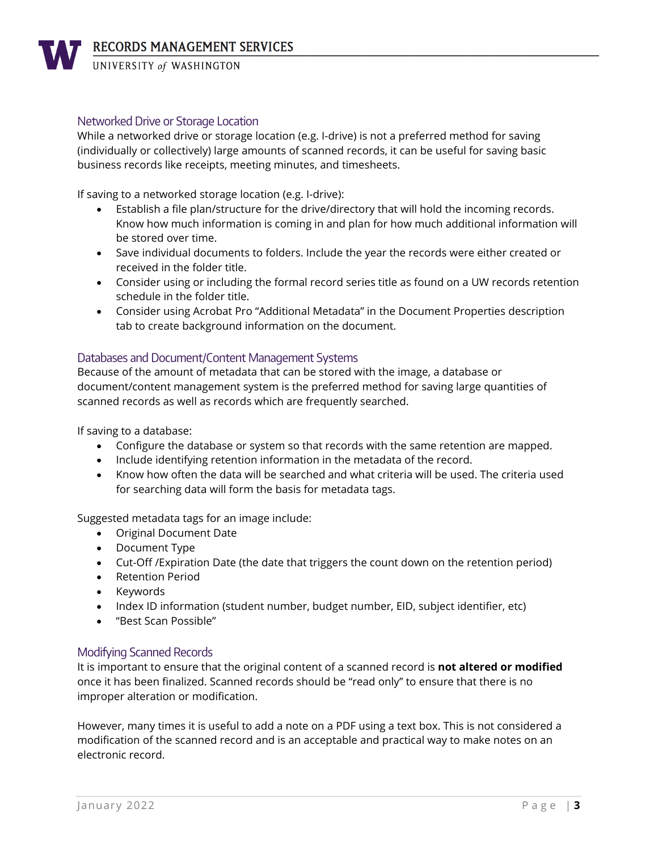RECORDS MANAGEMENT SERVICES

UNIVERSITY of WASHINGTON

#### Networked Drive or Storage Location

While a networked drive or storage location (e.g. I-drive) is not a preferred method for saving (individually or collectively) large amounts of scanned records, it can be useful for saving basic business records like receipts, meeting minutes, and timesheets.

If saving to a networked storage location (e.g. I-drive):

- Establish a file plan/structure for the drive/directory that will hold the incoming records. Know how much information is coming in and plan for how much additional information will be stored over time.
- Save individual documents to folders. Include the year the records were either created or received in the folder title.
- Consider using or including the formal record series title as found on a UW records retention schedule in the folder title.
- Consider using Acrobat Pro "Additional Metadata" in the Document Properties description tab to create background information on the document.

#### Databases and Document/Content Management Systems

Because of the amount of metadata that can be stored with the image, a database or document/content management system is the preferred method for saving large quantities of scanned records as well as records which are frequently searched.

If saving to a database:

- Configure the database or system so that records with the same retention are mapped.
- Include identifying retention information in the metadata of the record.
- Know how often the data will be searched and what criteria will be used. The criteria used for searching data will form the basis for metadata tags.

Suggested metadata tags for an image include:

- Original Document Date
- Document Type
- Cut-Off /Expiration Date (the date that triggers the count down on the retention period)
- Retention Period
- Keywords
- Index ID information (student number, budget number, EID, subject identifier, etc)
- "Best Scan Possible"

#### Modifying Scanned Records

It is important to ensure that the original content of a scanned record is **not altered or modified**  once it has been finalized. Scanned records should be "read only" to ensure that there is no improper alteration or modification.

However, many times it is useful to add a note on a PDF using a text box. This is not considered a modification of the scanned record and is an acceptable and practical way to make notes on an electronic record.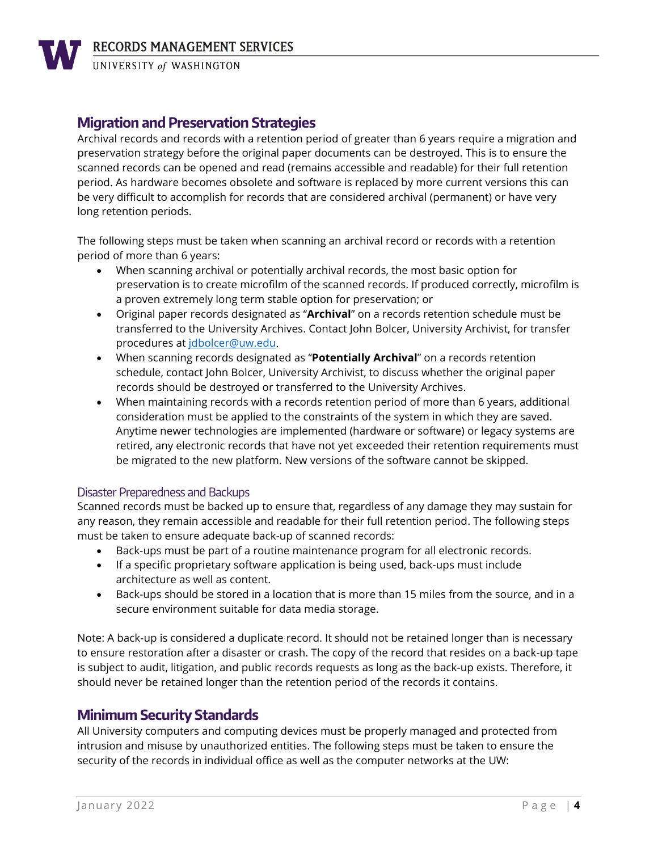RECORDS MANAGEMENT SERVICES

UNIVERSITY of WASHINGTON

# **Migration and Preservation Strategies**

Archival records and records with a retention period of greater than 6 years require a migration and preservation strategy before the original paper documents can be destroyed. This is to ensure the scanned records can be opened and read (remains accessible and readable) for their full retention period. As hardware becomes obsolete and software is replaced by more current versions this can be very difficult to accomplish for records that are considered archival (permanent) or have very long retention periods.

The following steps must be taken when scanning an archival record or records with a retention period of more than 6 years:

- When scanning archival or potentially archival records, the most basic option for preservation is to create microfilm of the scanned records. If produced correctly, microfilm is a proven extremely long term stable option for preservation; or
- Original paper records designated as "**Archival**" on a records retention schedule must be transferred to the University Archives. Contact John Bolcer, University Archivist, for transfer procedures a[t jdbolcer@uw.edu.](mailto:jdbolcer@uw.edu)
- When scanning records designated as "**Potentially Archival**" on a records retention schedule, contact John Bolcer, University Archivist, to discuss whether the original paper records should be destroyed or transferred to the University Archives.
- When maintaining records with a records retention period of more than 6 years, additional consideration must be applied to the constraints of the system in which they are saved. Anytime newer technologies are implemented (hardware or software) or legacy systems are retired, any electronic records that have not yet exceeded their retention requirements must be migrated to the new platform. New versions of the software cannot be skipped.

#### Disaster Preparedness and Backups

Scanned records must be backed up to ensure that, regardless of any damage they may sustain for any reason, they remain accessible and readable for their full retention period. The following steps must be taken to ensure adequate back-up of scanned records:

- Back-ups must be part of a routine maintenance program for all electronic records.
- If a specific proprietary software application is being used, back-ups must include architecture as well as content.
- Back-ups should be stored in a location that is more than 15 miles from the source, and in a secure environment suitable for data media storage.

Note: A back-up is considered a duplicate record. It should not be retained longer than is necessary to ensure restoration after a disaster or crash. The copy of the record that resides on a back-up tape is subject to audit, litigation, and public records requests as long as the back-up exists. Therefore, it should never be retained longer than the retention period of the records it contains.

### **Minimum Security Standards**

All University computers and computing devices must be properly managed and protected from intrusion and misuse by unauthorized entities. The following steps must be taken to ensure the security of the records in individual office as well as the computer networks at the UW: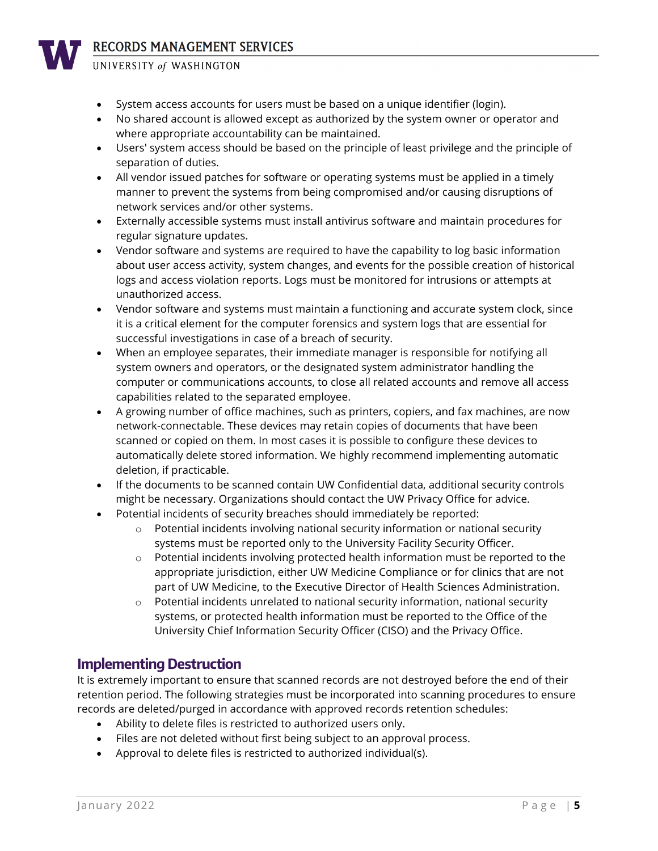# RECORDS MANAGEMENT SERVICES

UNIVERSITY of WASHINGTON

- System access accounts for users must be based on a unique identifier (login).
- No shared account is allowed except as authorized by the system owner or operator and where appropriate accountability can be maintained.
- Users' system access should be based on the principle of least privilege and the principle of separation of duties.
- All vendor issued patches for software or operating systems must be applied in a timely manner to prevent the systems from being compromised and/or causing disruptions of network services and/or other systems.
- Externally accessible systems must install antivirus software and maintain procedures for regular signature updates.
- Vendor software and systems are required to have the capability to log basic information about user access activity, system changes, and events for the possible creation of historical logs and access violation reports. Logs must be monitored for intrusions or attempts at unauthorized access.
- Vendor software and systems must maintain a functioning and accurate system clock, since it is a critical element for the computer forensics and system logs that are essential for successful investigations in case of a breach of security.
- When an employee separates, their immediate manager is responsible for notifying all system owners and operators, or the designated system administrator handling the computer or communications accounts, to close all related accounts and remove all access capabilities related to the separated employee.
- A growing number of office machines, such as printers, copiers, and fax machines, are now network-connectable. These devices may retain copies of documents that have been scanned or copied on them. In most cases it is possible to configure these devices to automatically delete stored information. We highly recommend implementing automatic deletion, if practicable.
- If the documents to be scanned contain UW Confidential data, additional security controls might be necessary. Organizations should contact the UW Privacy Office for advice.
- Potential incidents of security breaches should immediately be reported:
	- o Potential incidents involving national security information or national security systems must be reported only to the University Facility Security Officer.
	- o Potential incidents involving protected health information must be reported to the appropriate jurisdiction, either UW Medicine Compliance or for clinics that are not part of UW Medicine, to the Executive Director of Health Sciences Administration.
	- $\circ$  Potential incidents unrelated to national security information, national security systems, or protected health information must be reported to the Office of the University Chief Information Security Officer (CISO) and the Privacy Office.

# **Implementing Destruction**

It is extremely important to ensure that scanned records are not destroyed before the end of their retention period. The following strategies must be incorporated into scanning procedures to ensure records are deleted/purged in accordance with approved records retention schedules:

- Ability to delete files is restricted to authorized users only.
- Files are not deleted without first being subject to an approval process.
- Approval to delete files is restricted to authorized individual(s).